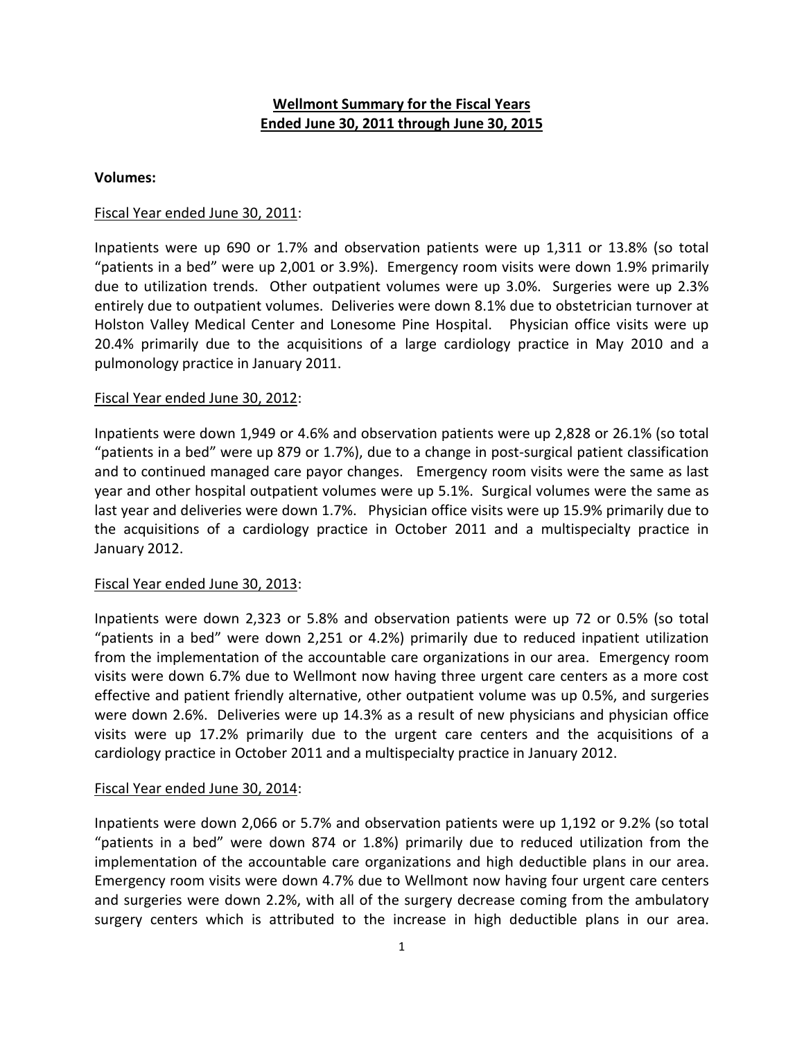# **Wellmont Summary for the Fiscal Years Ended June 30, 2011 through June 30, 2015**

### **Volumes:**

### Fiscal Year ended June 30, 2011:

Inpatients were up 690 or 1.7% and observation patients were up 1,311 or 13.8% (so total "patients in a bed" were up 2,001 or 3.9%). Emergency room visits were down 1.9% primarily due to utilization trends. Other outpatient volumes were up 3.0%. Surgeries were up 2.3% entirely due to outpatient volumes. Deliveries were down 8.1% due to obstetrician turnover at Holston Valley Medical Center and Lonesome Pine Hospital. Physician office visits were up 20.4% primarily due to the acquisitions of a large cardiology practice in May 2010 and a pulmonology practice in January 2011.

#### Fiscal Year ended June 30, 2012:

Inpatients were down 1,949 or 4.6% and observation patients were up 2,828 or 26.1% (so total "patients in a bed" were up 879 or 1.7%), due to a change in post-surgical patient classification and to continued managed care payor changes. Emergency room visits were the same as last year and other hospital outpatient volumes were up 5.1%. Surgical volumes were the same as last year and deliveries were down 1.7%. Physician office visits were up 15.9% primarily due to the acquisitions of a cardiology practice in October 2011 and a multispecialty practice in January 2012.

# Fiscal Year ended June 30, 2013:

Inpatients were down 2,323 or 5.8% and observation patients were up 72 or 0.5% (so total "patients in a bed" were down 2,251 or 4.2%) primarily due to reduced inpatient utilization from the implementation of the accountable care organizations in our area. Emergency room visits were down 6.7% due to Wellmont now having three urgent care centers as a more cost effective and patient friendly alternative, other outpatient volume was up 0.5%, and surgeries were down 2.6%. Deliveries were up 14.3% as a result of new physicians and physician office visits were up 17.2% primarily due to the urgent care centers and the acquisitions of a cardiology practice in October 2011 and a multispecialty practice in January 2012.

#### Fiscal Year ended June 30, 2014:

Inpatients were down 2,066 or 5.7% and observation patients were up 1,192 or 9.2% (so total "patients in a bed" were down 874 or 1.8%) primarily due to reduced utilization from the implementation of the accountable care organizations and high deductible plans in our area. Emergency room visits were down 4.7% due to Wellmont now having four urgent care centers and surgeries were down 2.2%, with all of the surgery decrease coming from the ambulatory surgery centers which is attributed to the increase in high deductible plans in our area.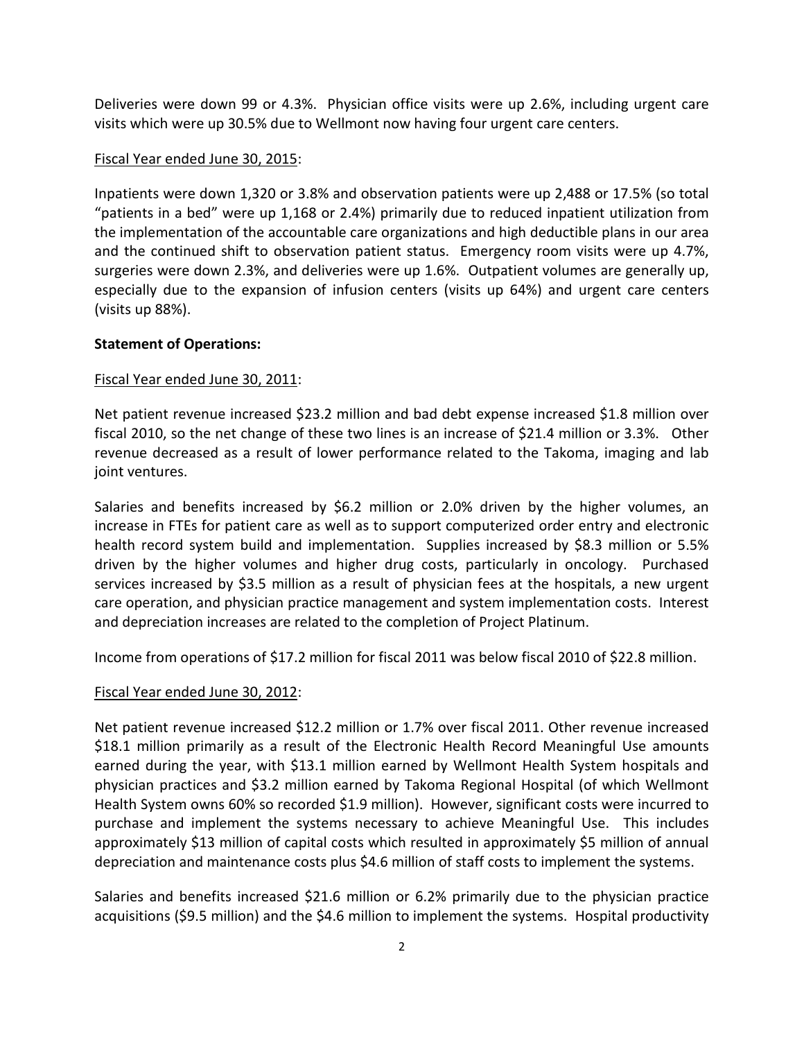Deliveries were down 99 or 4.3%. Physician office visits were up 2.6%, including urgent care visits which were up 30.5% due to Wellmont now having four urgent care centers.

### Fiscal Year ended June 30, 2015:

Inpatients were down 1,320 or 3.8% and observation patients were up 2,488 or 17.5% (so total "patients in a bed" were up 1,168 or 2.4%) primarily due to reduced inpatient utilization from the implementation of the accountable care organizations and high deductible plans in our area and the continued shift to observation patient status. Emergency room visits were up 4.7%, surgeries were down 2.3%, and deliveries were up 1.6%. Outpatient volumes are generally up, especially due to the expansion of infusion centers (visits up 64%) and urgent care centers (visits up 88%).

### **Statement of Operations:**

# Fiscal Year ended June 30, 2011:

Net patient revenue increased \$23.2 million and bad debt expense increased \$1.8 million over fiscal 2010, so the net change of these two lines is an increase of \$21.4 million or 3.3%. Other revenue decreased as a result of lower performance related to the Takoma, imaging and lab joint ventures.

Salaries and benefits increased by \$6.2 million or 2.0% driven by the higher volumes, an increase in FTEs for patient care as well as to support computerized order entry and electronic health record system build and implementation. Supplies increased by \$8.3 million or 5.5% driven by the higher volumes and higher drug costs, particularly in oncology. Purchased services increased by \$3.5 million as a result of physician fees at the hospitals, a new urgent care operation, and physician practice management and system implementation costs. Interest and depreciation increases are related to the completion of Project Platinum.

Income from operations of \$17.2 million for fiscal 2011 was below fiscal 2010 of \$22.8 million.

# Fiscal Year ended June 30, 2012:

Net patient revenue increased \$12.2 million or 1.7% over fiscal 2011. Other revenue increased \$18.1 million primarily as a result of the Electronic Health Record Meaningful Use amounts earned during the year, with \$13.1 million earned by Wellmont Health System hospitals and physician practices and \$3.2 million earned by Takoma Regional Hospital (of which Wellmont Health System owns 60% so recorded \$1.9 million). However, significant costs were incurred to purchase and implement the systems necessary to achieve Meaningful Use. This includes approximately \$13 million of capital costs which resulted in approximately \$5 million of annual depreciation and maintenance costs plus \$4.6 million of staff costs to implement the systems.

Salaries and benefits increased \$21.6 million or 6.2% primarily due to the physician practice acquisitions (\$9.5 million) and the \$4.6 million to implement the systems. Hospital productivity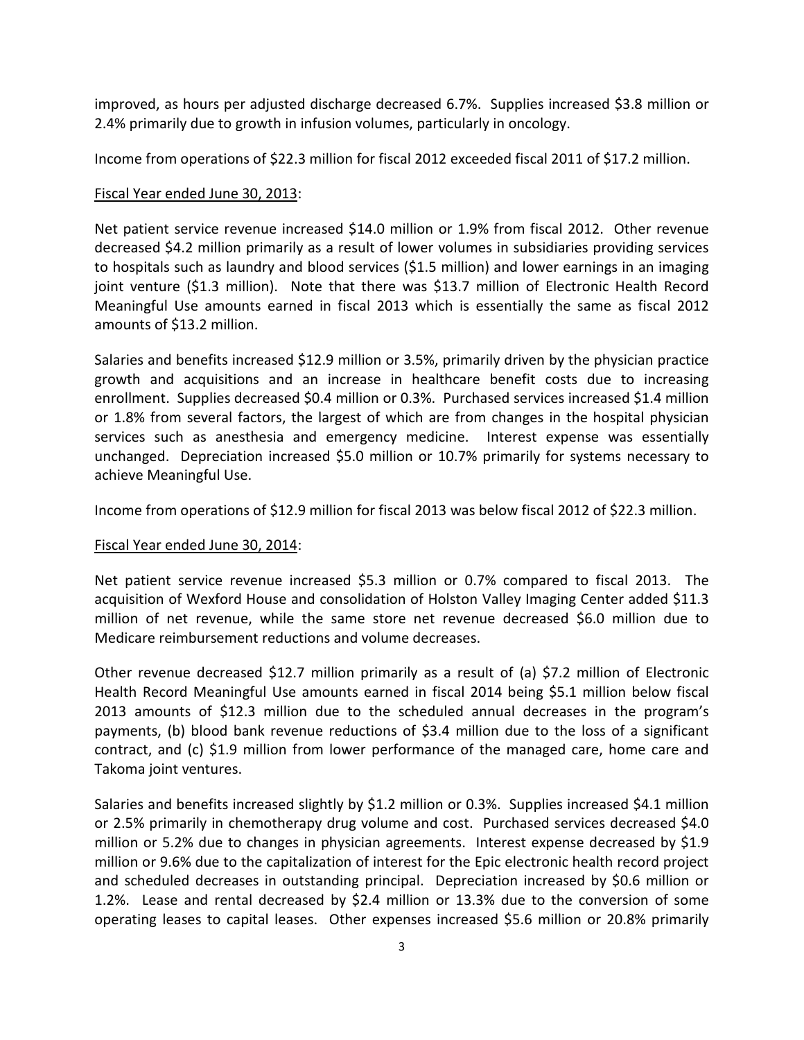improved, as hours per adjusted discharge decreased 6.7%. Supplies increased \$3.8 million or 2.4% primarily due to growth in infusion volumes, particularly in oncology.

Income from operations of \$22.3 million for fiscal 2012 exceeded fiscal 2011 of \$17.2 million.

# Fiscal Year ended June 30, 2013:

Net patient service revenue increased \$14.0 million or 1.9% from fiscal 2012. Other revenue decreased \$4.2 million primarily as a result of lower volumes in subsidiaries providing services to hospitals such as laundry and blood services (\$1.5 million) and lower earnings in an imaging joint venture (\$1.3 million). Note that there was \$13.7 million of Electronic Health Record Meaningful Use amounts earned in fiscal 2013 which is essentially the same as fiscal 2012 amounts of \$13.2 million.

Salaries and benefits increased \$12.9 million or 3.5%, primarily driven by the physician practice growth and acquisitions and an increase in healthcare benefit costs due to increasing enrollment. Supplies decreased \$0.4 million or 0.3%. Purchased services increased \$1.4 million or 1.8% from several factors, the largest of which are from changes in the hospital physician services such as anesthesia and emergency medicine. Interest expense was essentially unchanged. Depreciation increased \$5.0 million or 10.7% primarily for systems necessary to achieve Meaningful Use.

Income from operations of \$12.9 million for fiscal 2013 was below fiscal 2012 of \$22.3 million.

# Fiscal Year ended June 30, 2014:

Net patient service revenue increased \$5.3 million or 0.7% compared to fiscal 2013. The acquisition of Wexford House and consolidation of Holston Valley Imaging Center added \$11.3 million of net revenue, while the same store net revenue decreased \$6.0 million due to Medicare reimbursement reductions and volume decreases.

Other revenue decreased \$12.7 million primarily as a result of (a) \$7.2 million of Electronic Health Record Meaningful Use amounts earned in fiscal 2014 being \$5.1 million below fiscal 2013 amounts of \$12.3 million due to the scheduled annual decreases in the program's payments, (b) blood bank revenue reductions of \$3.4 million due to the loss of a significant contract, and (c) \$1.9 million from lower performance of the managed care, home care and Takoma joint ventures.

Salaries and benefits increased slightly by \$1.2 million or 0.3%. Supplies increased \$4.1 million or 2.5% primarily in chemotherapy drug volume and cost. Purchased services decreased \$4.0 million or 5.2% due to changes in physician agreements. Interest expense decreased by \$1.9 million or 9.6% due to the capitalization of interest for the Epic electronic health record project and scheduled decreases in outstanding principal. Depreciation increased by \$0.6 million or 1.2%. Lease and rental decreased by \$2.4 million or 13.3% due to the conversion of some operating leases to capital leases. Other expenses increased \$5.6 million or 20.8% primarily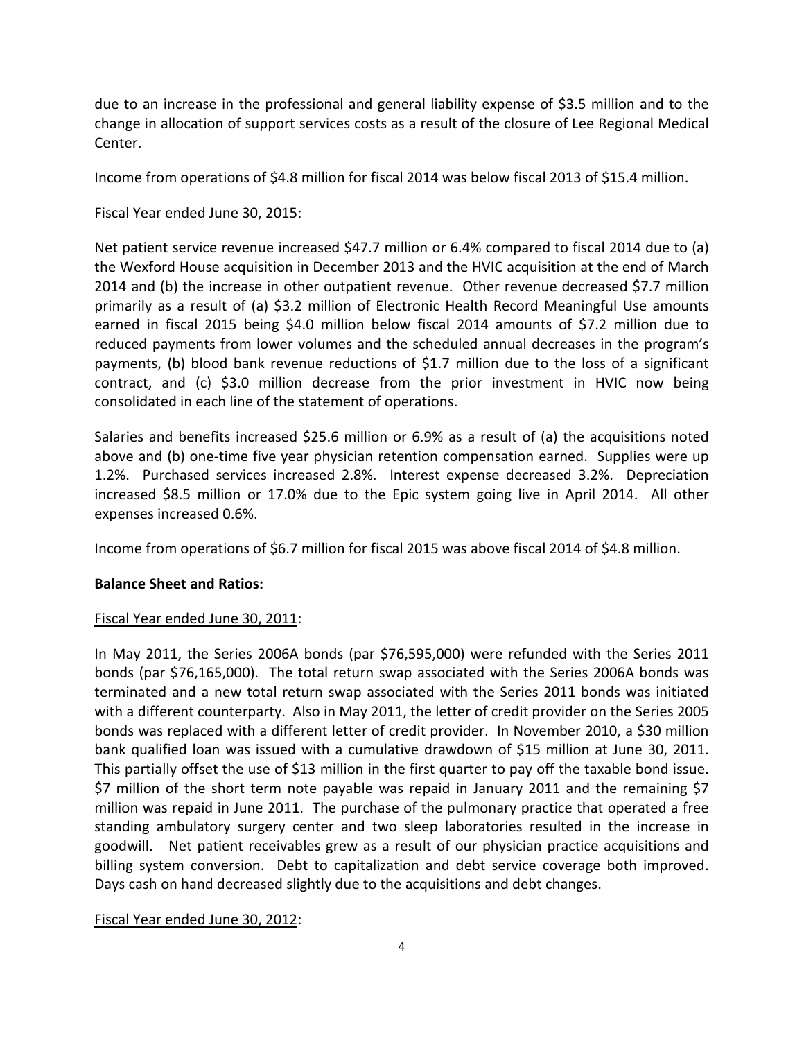due to an increase in the professional and general liability expense of \$3.5 million and to the change in allocation of support services costs as a result of the closure of Lee Regional Medical Center.

Income from operations of \$4.8 million for fiscal 2014 was below fiscal 2013 of \$15.4 million.

# Fiscal Year ended June 30, 2015:

Net patient service revenue increased \$47.7 million or 6.4% compared to fiscal 2014 due to (a) the Wexford House acquisition in December 2013 and the HVIC acquisition at the end of March 2014 and (b) the increase in other outpatient revenue. Other revenue decreased \$7.7 million primarily as a result of (a) \$3.2 million of Electronic Health Record Meaningful Use amounts earned in fiscal 2015 being \$4.0 million below fiscal 2014 amounts of \$7.2 million due to reduced payments from lower volumes and the scheduled annual decreases in the program's payments, (b) blood bank revenue reductions of \$1.7 million due to the loss of a significant contract, and (c) \$3.0 million decrease from the prior investment in HVIC now being consolidated in each line of the statement of operations.

Salaries and benefits increased \$25.6 million or 6.9% as a result of (a) the acquisitions noted above and (b) one-time five year physician retention compensation earned. Supplies were up 1.2%. Purchased services increased 2.8%. Interest expense decreased 3.2%. Depreciation increased \$8.5 million or 17.0% due to the Epic system going live in April 2014. All other expenses increased 0.6%.

Income from operations of \$6.7 million for fiscal 2015 was above fiscal 2014 of \$4.8 million.

# **Balance Sheet and Ratios:**

# Fiscal Year ended June 30, 2011:

In May 2011, the Series 2006A bonds (par \$76,595,000) were refunded with the Series 2011 bonds (par \$76,165,000). The total return swap associated with the Series 2006A bonds was terminated and a new total return swap associated with the Series 2011 bonds was initiated with a different counterparty. Also in May 2011, the letter of credit provider on the Series 2005 bonds was replaced with a different letter of credit provider. In November 2010, a \$30 million bank qualified loan was issued with a cumulative drawdown of \$15 million at June 30, 2011. This partially offset the use of \$13 million in the first quarter to pay off the taxable bond issue. \$7 million of the short term note payable was repaid in January 2011 and the remaining \$7 million was repaid in June 2011. The purchase of the pulmonary practice that operated a free standing ambulatory surgery center and two sleep laboratories resulted in the increase in goodwill. Net patient receivables grew as a result of our physician practice acquisitions and billing system conversion. Debt to capitalization and debt service coverage both improved. Days cash on hand decreased slightly due to the acquisitions and debt changes.

# Fiscal Year ended June 30, 2012: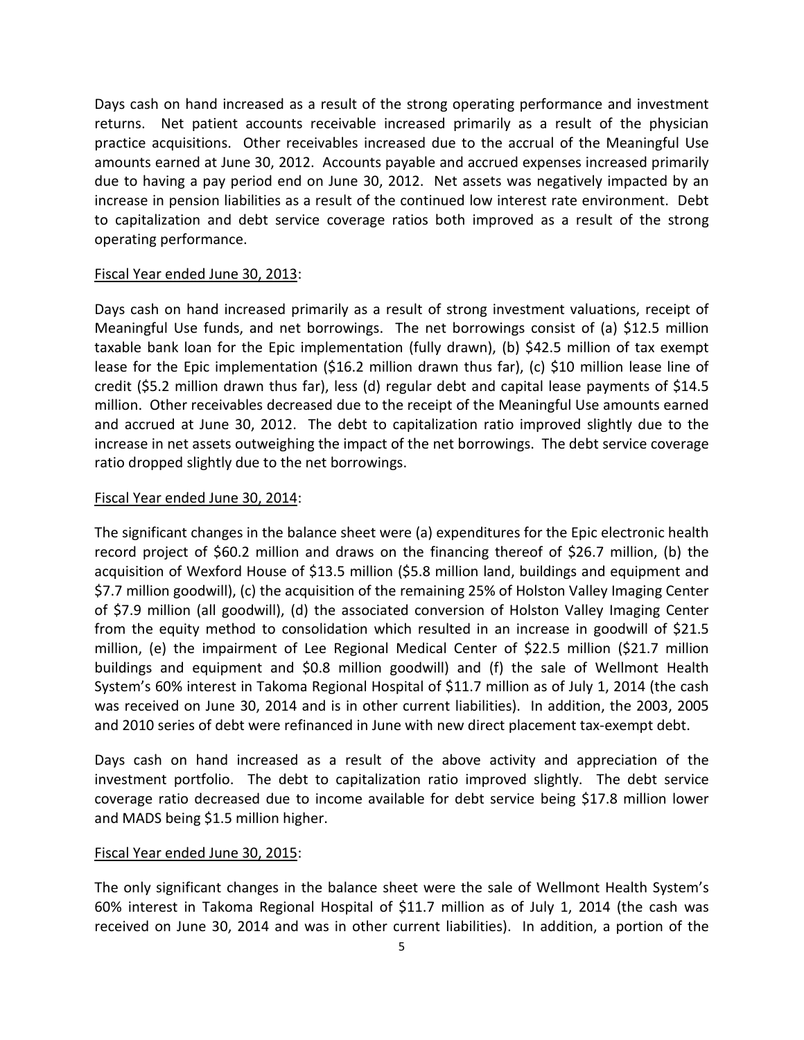Days cash on hand increased as a result of the strong operating performance and investment returns. Net patient accounts receivable increased primarily as a result of the physician practice acquisitions. Other receivables increased due to the accrual of the Meaningful Use amounts earned at June 30, 2012. Accounts payable and accrued expenses increased primarily due to having a pay period end on June 30, 2012. Net assets was negatively impacted by an increase in pension liabilities as a result of the continued low interest rate environment. Debt to capitalization and debt service coverage ratios both improved as a result of the strong operating performance.

### Fiscal Year ended June 30, 2013:

Days cash on hand increased primarily as a result of strong investment valuations, receipt of Meaningful Use funds, and net borrowings. The net borrowings consist of (a) \$12.5 million taxable bank loan for the Epic implementation (fully drawn), (b) \$42.5 million of tax exempt lease for the Epic implementation (\$16.2 million drawn thus far), (c) \$10 million lease line of credit (\$5.2 million drawn thus far), less (d) regular debt and capital lease payments of \$14.5 million. Other receivables decreased due to the receipt of the Meaningful Use amounts earned and accrued at June 30, 2012. The debt to capitalization ratio improved slightly due to the increase in net assets outweighing the impact of the net borrowings. The debt service coverage ratio dropped slightly due to the net borrowings.

### Fiscal Year ended June 30, 2014:

The significant changes in the balance sheet were (a) expenditures for the Epic electronic health record project of \$60.2 million and draws on the financing thereof of \$26.7 million, (b) the acquisition of Wexford House of \$13.5 million (\$5.8 million land, buildings and equipment and \$7.7 million goodwill), (c) the acquisition of the remaining 25% of Holston Valley Imaging Center of \$7.9 million (all goodwill), (d) the associated conversion of Holston Valley Imaging Center from the equity method to consolidation which resulted in an increase in goodwill of \$21.5 million, (e) the impairment of Lee Regional Medical Center of \$22.5 million (\$21.7 million buildings and equipment and \$0.8 million goodwill) and (f) the sale of Wellmont Health System's 60% interest in Takoma Regional Hospital of \$11.7 million as of July 1, 2014 (the cash was received on June 30, 2014 and is in other current liabilities). In addition, the 2003, 2005 and 2010 series of debt were refinanced in June with new direct placement tax-exempt debt.

Days cash on hand increased as a result of the above activity and appreciation of the investment portfolio. The debt to capitalization ratio improved slightly. The debt service coverage ratio decreased due to income available for debt service being \$17.8 million lower and MADS being \$1.5 million higher.

# Fiscal Year ended June 30, 2015:

The only significant changes in the balance sheet were the sale of Wellmont Health System's 60% interest in Takoma Regional Hospital of \$11.7 million as of July 1, 2014 (the cash was received on June 30, 2014 and was in other current liabilities). In addition, a portion of the